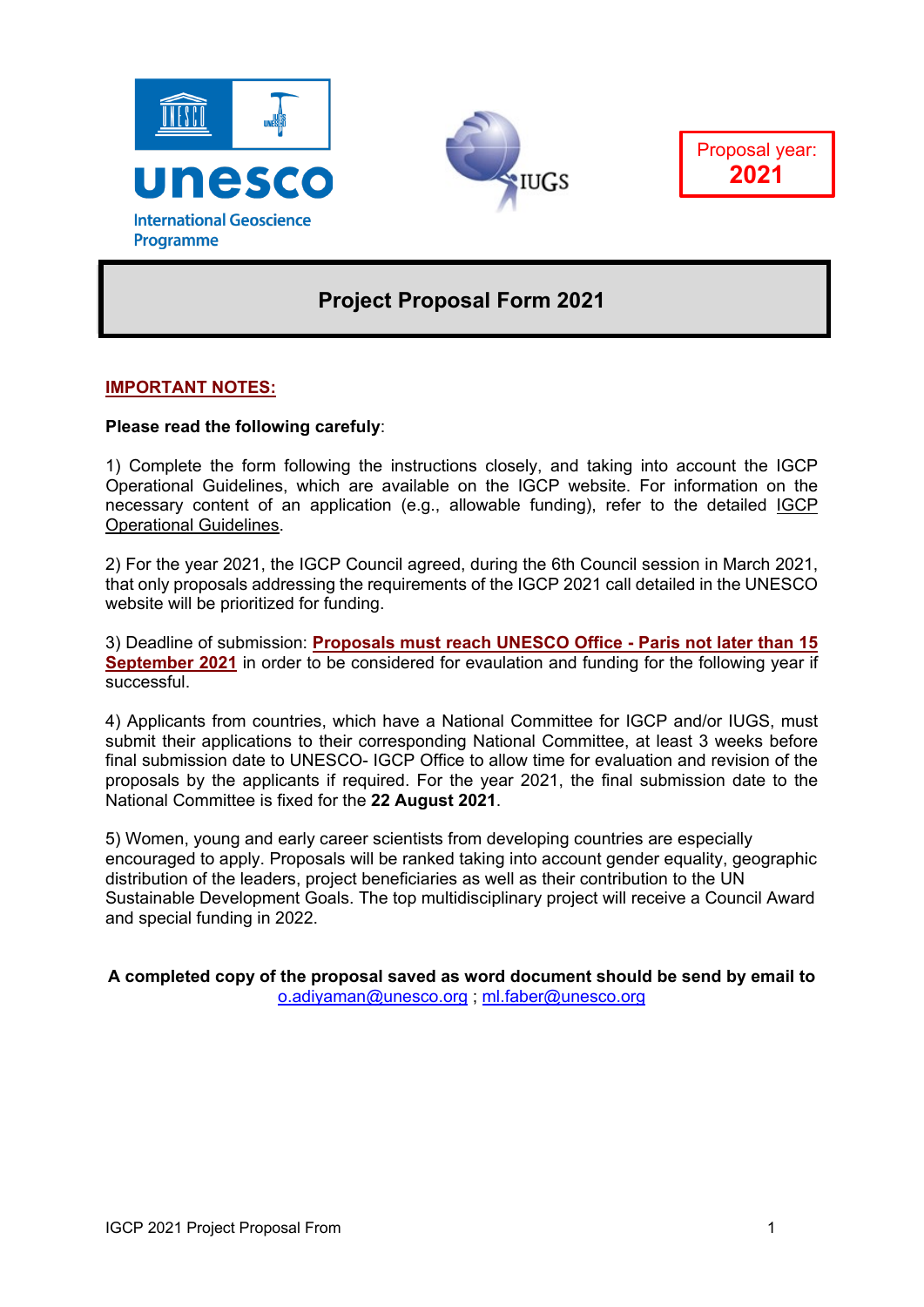





# **Project Proposal Form 2021**

## **IMPORTANT NOTES:**

## **Please read the following carefuly**:

1) Complete the form following the instructions closely, and taking into account the IGCP Operational Guidelines, which are available on the IGCP website. For information on the necessary content of an application (e.g., allowable funding), refer to the detailed [IGCP](http://www.unesco.org/new/fileadmin/MULTIMEDIA/HQ/SC/pdf/sc_IGCP_Guidelines-2011_EN.pdf) [Operational Guidelines.](http://www.unesco.org/new/fileadmin/MULTIMEDIA/HQ/SC/pdf/sc_IGCP_Guidelines-2011_EN.pdf)

2) For the year 2021, the IGCP Council agreed, during the 6th Council session in March 2021, that only proposals addressing the requirements of the IGCP 2021 call detailed in the UNESCO website will be prioritized for funding.

3) Deadline of submission: **Proposals must reach UNESCO Office - Paris not later than 15 September 2021** in order to be considered for evaulation and funding for the following year if successful.

4) Applicants from countries, which have a National Committee for IGCP and/or IUGS, must submit their applications to their corresponding National Committee, at least 3 weeks before final submission date to UNESCO- IGCP Office to allow time for evaluation and revision of the proposals by the applicants if required. For the year 2021, the final submission date to the National Committee is fixed for the **22 August 2021**.

5) Women, young and early career scientists from developing countries are especially encouraged to apply. Proposals will be ranked taking into account gender equality, geographic distribution of the leaders, project beneficiaries as well as their contribution to the UN Sustainable Development Goals. The top multidisciplinary project will receive a Council Award and special funding in 2022.

**A completed copy of the proposal saved as word document should be send by email to** [o.adiyaman@unesco.org](mailto:o.adiyaman@unesco.org) ; [ml.faber@unesco.org](mailto:ml.faber@unesco.org)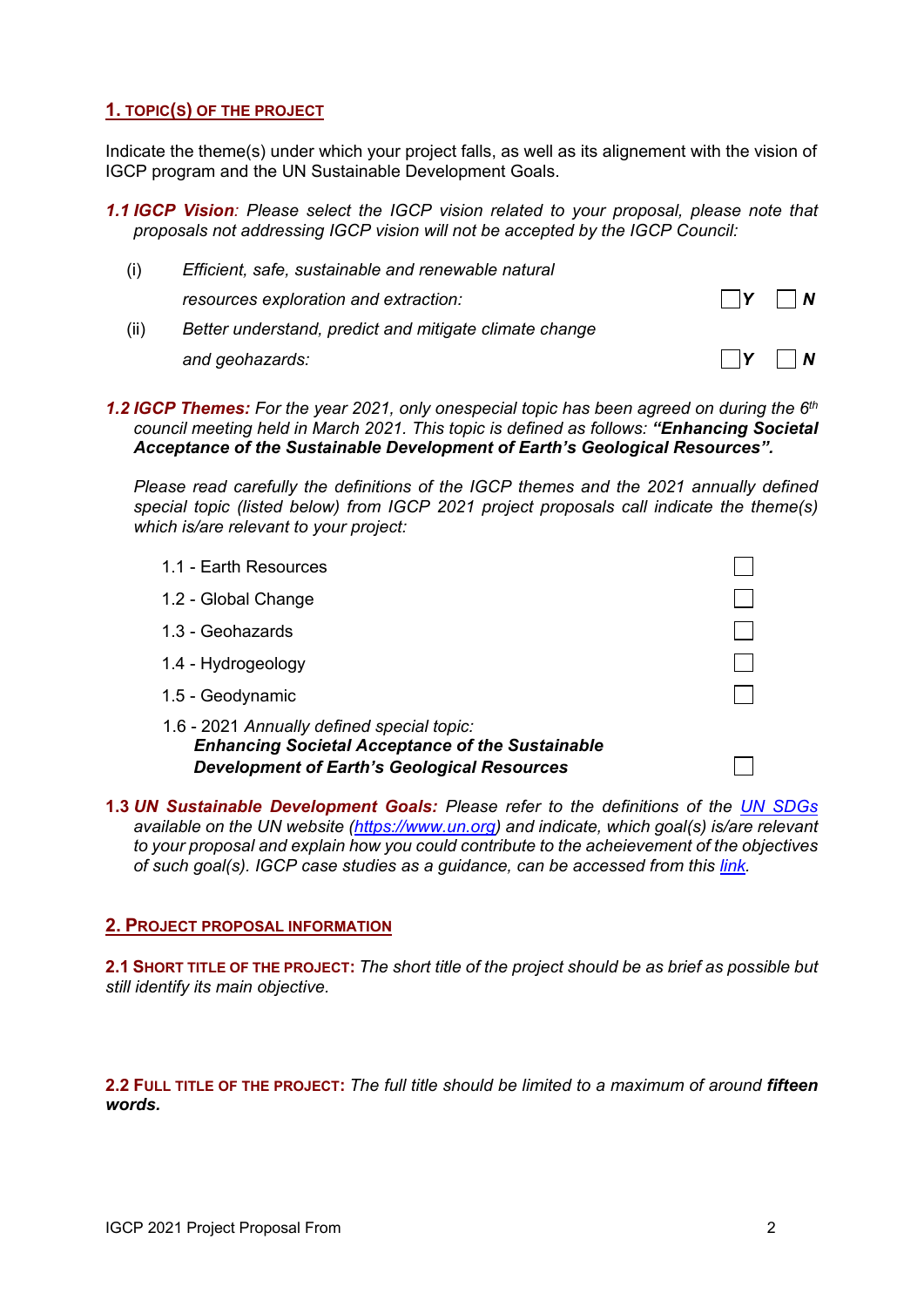# **1. TOPIC(S) OF THE PROJECT**

Indicate the theme(s) under which your project falls, as well as its alignement with the vision of IGCP program and the UN Sustainable Development Goals.

*1.1 IGCP Vision: Please select the IGCP vision related to your proposal, please note that proposals not addressing IGCP vision will not be accepted by the IGCP Council:*

| (i)  | Efficient, safe, sustainable and renewable natural     |                                                 |
|------|--------------------------------------------------------|-------------------------------------------------|
|      | resources exploration and extraction:                  | $\Box Y$ $\Box N$                               |
| (ii) | Better understand, predict and mitigate climate change |                                                 |
|      | and geohazards:                                        | $\vert \vert \mathsf{Y} \vert \vert \mathsf{N}$ |

*1.2 IGCP Themes: For the year 2021, only onespecial topic has been agreed on during the 6th council meeting held in March 2021. This topic is defined as follows: "Enhancing Societal Acceptance of the Sustainable Development of Earth's Geological Resources".*

*Please read carefully the definitions of the IGCP themes and the 2021 annually defined special topic (listed below) from IGCP 2021 project proposals call indicate the theme(s) which is/are relevant to your project:*

- $\Box$ 1.1 - Earth Resources 1.2 - Global Change 1.3 - Geohazards 1.4 - Hydrogeology 1.5 - Geodynamic 1.6 - 2021 *Annually defined special topic: Enhancing Societal Acceptance of the Sustainable Development of Earth's Geological Resources*  $\Box$
- **1.3** *UN Sustainable Development Goals: Please refer to the definitions of the [UN SDGs](https://sdgs.un.org/goals) available on the UN website [\(https://www.un.org\)](https://www.un.org/) and indicate, which goal(s) is/are relevant to your proposal and explain how you could contribute to the acheievement of the objectives of such goal(s). IGCP case studies as a guidance, can be accessed from this [link.](http://www.unesco.org/new/en/natural-sciences/environment/earth-sciences/international-geoscience-programme/sustainable-development-goals/)*

# **2. PROJECT PROPOSAL INFORMATION**

**2.1 SHORT TITLE OF THE PROJECT:** *The short title of the project should be as brief as possible but still identify its main objective.*

**2.2 FULL TITLE OF THE PROJECT:** *The full title should be limited to a maximum of around fifteen words.*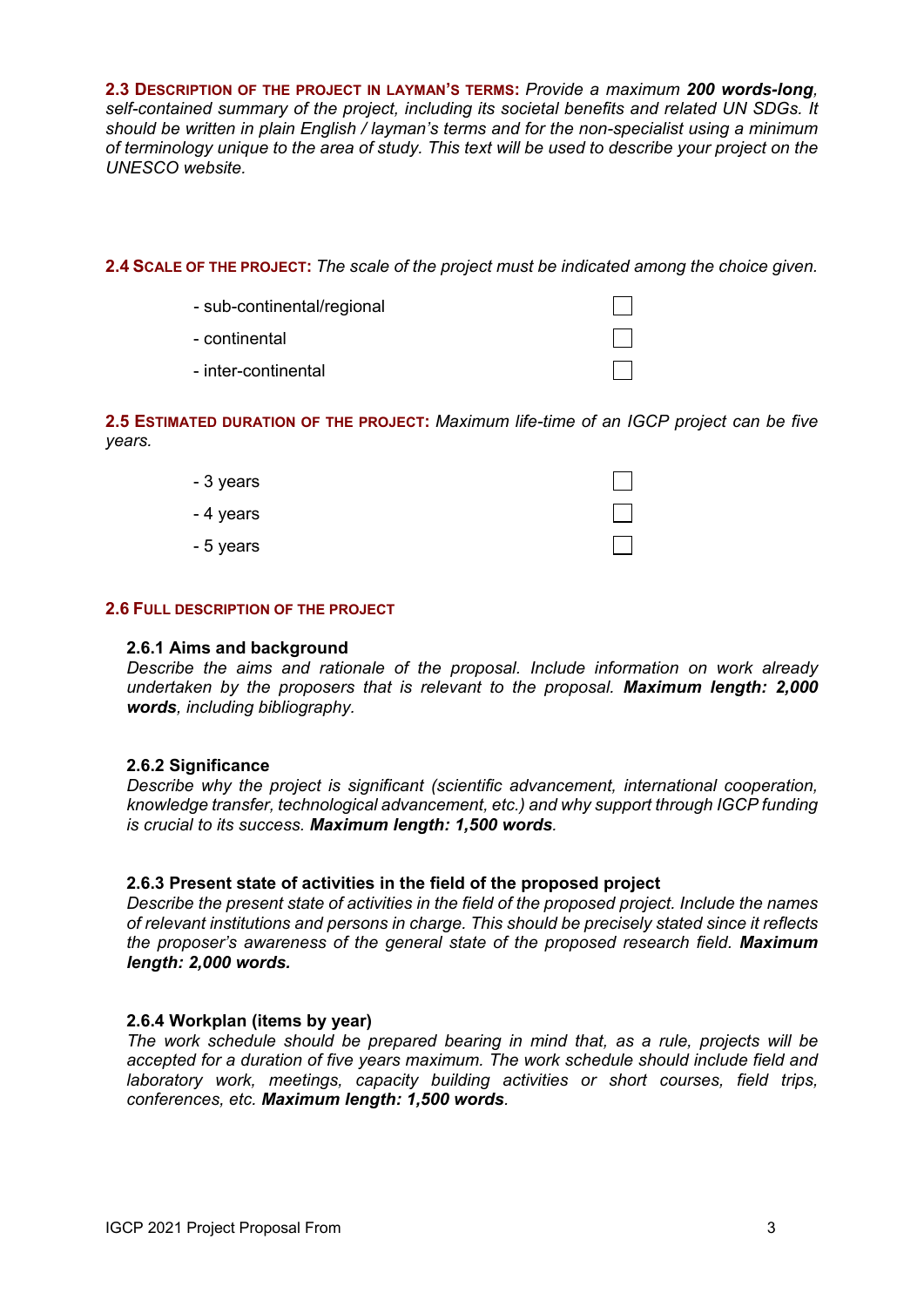**2.3 DESCRIPTION OF THE PROJECT IN LAYMAN'S TERMS:** *Provide a maximum 200 words-long, self-contained summary of the project, including its societal benefits and related UN SDGs. It should be written in plain English / layman's terms and for the non-specialist using a minimum of terminology unique to the area of study. This text will be used to describe your project on the UNESCO website.*

**2.4 SCALE OF THE PROJECT:** *The scale of the project must be indicated among the choice given.*

- sub-continental/regional
- continental
- inter-continental

**2.5 ESTIMATED DURATION OF THE PROJECT:** *Maximum life-time of an IGCP project can be five years.*

| - 3 years |                          |
|-----------|--------------------------|
| - 4 years | $\overline{\phantom{a}}$ |
| - 5 years |                          |

## **2.6 FULL DESCRIPTION OF THE PROJECT**

#### **2.6.1 Aims and background**

*Describe the aims and rationale of the proposal. Include information on work already undertaken by the proposers that is relevant to the proposal. Maximum length: 2,000 words, including bibliography.*

# **2.6.2 Significance**

*Describe why the project is significant (scientific advancement, international cooperation, knowledge transfer, technological advancement, etc.) and why support through IGCP funding is crucial to its success. Maximum length: 1,500 words.*

# **2.6.3 Present state of activities in the field of the proposed project**

*Describe the present state of activities in the field of the proposed project. Include the names of relevant institutions and persons in charge. This should be precisely stated since it reflects the proposer's awareness of the general state of the proposed research field. Maximum length: 2,000 words.*

# **2.6.4 Workplan (items by year)**

*The work schedule should be prepared bearing in mind that, as a rule, projects will be accepted for a duration of five years maximum. The work schedule should include field and laboratory work, meetings, capacity building activities or short courses, field trips, conferences, etc. Maximum length: 1,500 words.*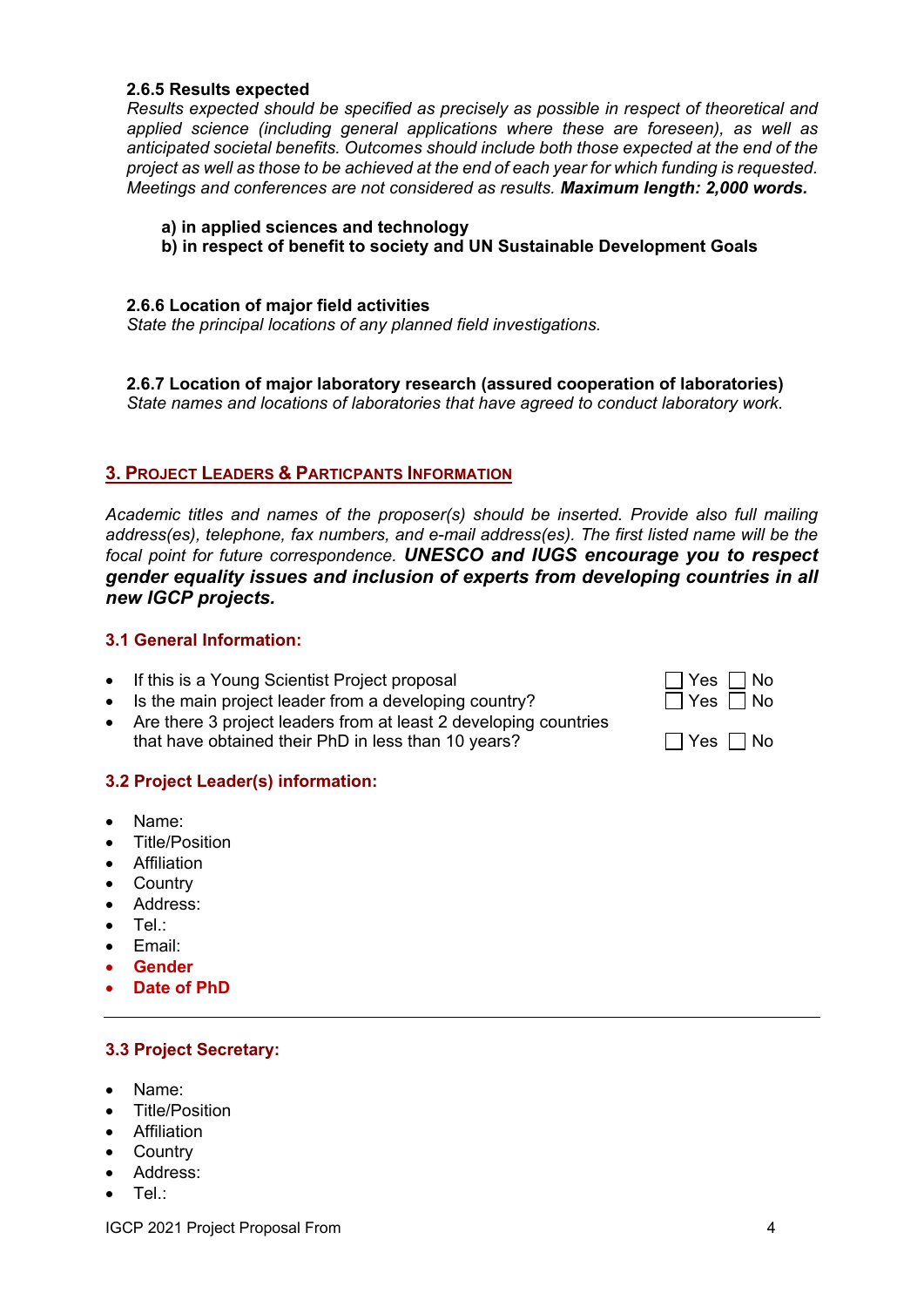## **2.6.5 Results expected**

*Results expected should be specified as precisely as possible in respect of theoretical and applied science (including general applications where these are foreseen), as well as anticipated societal benefits. Outcomes should include both those expected at the end of the project as well as those to be achieved at the end of each year for which funding is requested. Meetings and conferences are not considered as results. Maximum length: 2,000 words.*

#### **a) in applied sciences and technology**

**b) in respect of benefit to society and UN Sustainable Development Goals**

#### **2.6.6 Location of major field activities**

*State the principal locations of any planned field investigations.*

# **2.6.7 Location of major laboratory research (assured cooperation of laboratories)**

*State names and locations of laboratories that have agreed to conduct laboratory work.*

# **3. PROJECT LEADERS & PARTICPANTS INFORMATION**

*Academic titles and names of the proposer(s) should be inserted. Provide also full mailing address(es), telephone, fax numbers, and e-mail address(es). The first listed name will be the focal point for future correspondence. UNESCO and IUGS encourage you to respect gender equality issues and inclusion of experts from developing countries in all new IGCP projects.*

# **3.1 General Information:**

- If this is a Young Scientist Project proposal
- Is the main project leader from a developing country?
- Are there 3 project leaders from at least 2 developing countries that have obtained their PhD in less than 10 years?  $\Box$  Yes  $\Box$  No

# **3.2 Project Leader(s) information:**

- Name:
- Title/Position
- **Affiliation**
- Country
- Address:
- Tel.:
- Email:
- **Gender**
- **Date of PhD**

# **3.3 Project Secretary:**

- Name:
- Title/Position
- Affiliation
- Country
- Address:
- Tel.:

| $\Box$ Yes $\Box$ No<br>$\Box$ Yes $\Box$ No |  |
|----------------------------------------------|--|
|                                              |  |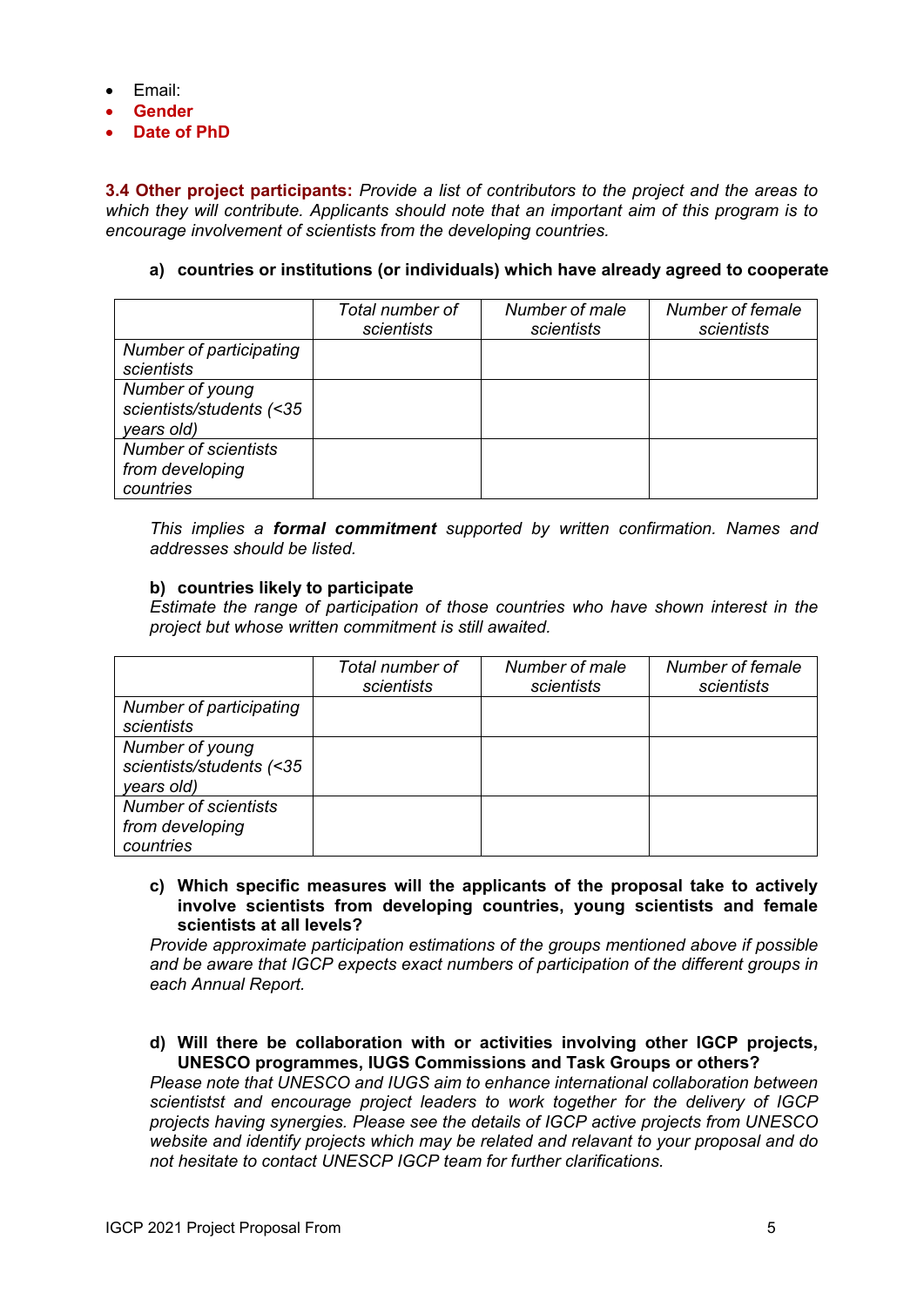- Email:
- **Gender**
- **Date of PhD**

**3.4 Other project participants:** *Provide a list of contributors to the project and the areas to which they will contribute. Applicants should note that an important aim of this program is to encourage involvement of scientists from the developing countries.*

# **a) countries or institutions (or individuals) which have already agreed to cooperate**

|                                                             | Total number of<br>scientists | Number of male<br>scientists | Number of female<br>scientists |
|-------------------------------------------------------------|-------------------------------|------------------------------|--------------------------------|
| Number of participating<br>scientists                       |                               |                              |                                |
| Number of young<br>scientists/students (<35<br>years old)   |                               |                              |                                |
| <b>Number of scientists</b><br>from developing<br>countries |                               |                              |                                |

*This implies a formal commitment supported by written confirmation. Names and addresses should be listed.*

## **b) countries likely to participate**

*Estimate the range of participation of those countries who have shown interest in the project but whose written commitment is still awaited.*

|                                                             | Total number of<br>scientists | Number of male<br>scientists | Number of female<br>scientists |
|-------------------------------------------------------------|-------------------------------|------------------------------|--------------------------------|
| Number of participating<br>scientists                       |                               |                              |                                |
| Number of young<br>scientists/students (<35<br>years old)   |                               |                              |                                |
| <b>Number of scientists</b><br>from developing<br>countries |                               |                              |                                |

**c) Which specific measures will the applicants of the proposal take to actively involve scientists from developing countries, young scientists and female scientists at all levels?** 

*Provide approximate participation estimations of the groups mentioned above if possible and be aware that IGCP expects exact numbers of participation of the different groups in each Annual Report.*

## **d) Will there be collaboration with or activities involving other IGCP projects, UNESCO programmes, IUGS Commissions and Task Groups or others?**

*Please note that UNESCO and IUGS aim to enhance international collaboration between scientistst and encourage project leaders to work together for the delivery of IGCP projects having synergies. Please see the details of IGCP active projects from UNESCO website and identify projects which may be related and relavant to your proposal and do not hesitate to contact UNESCP IGCP team for further clarifications.*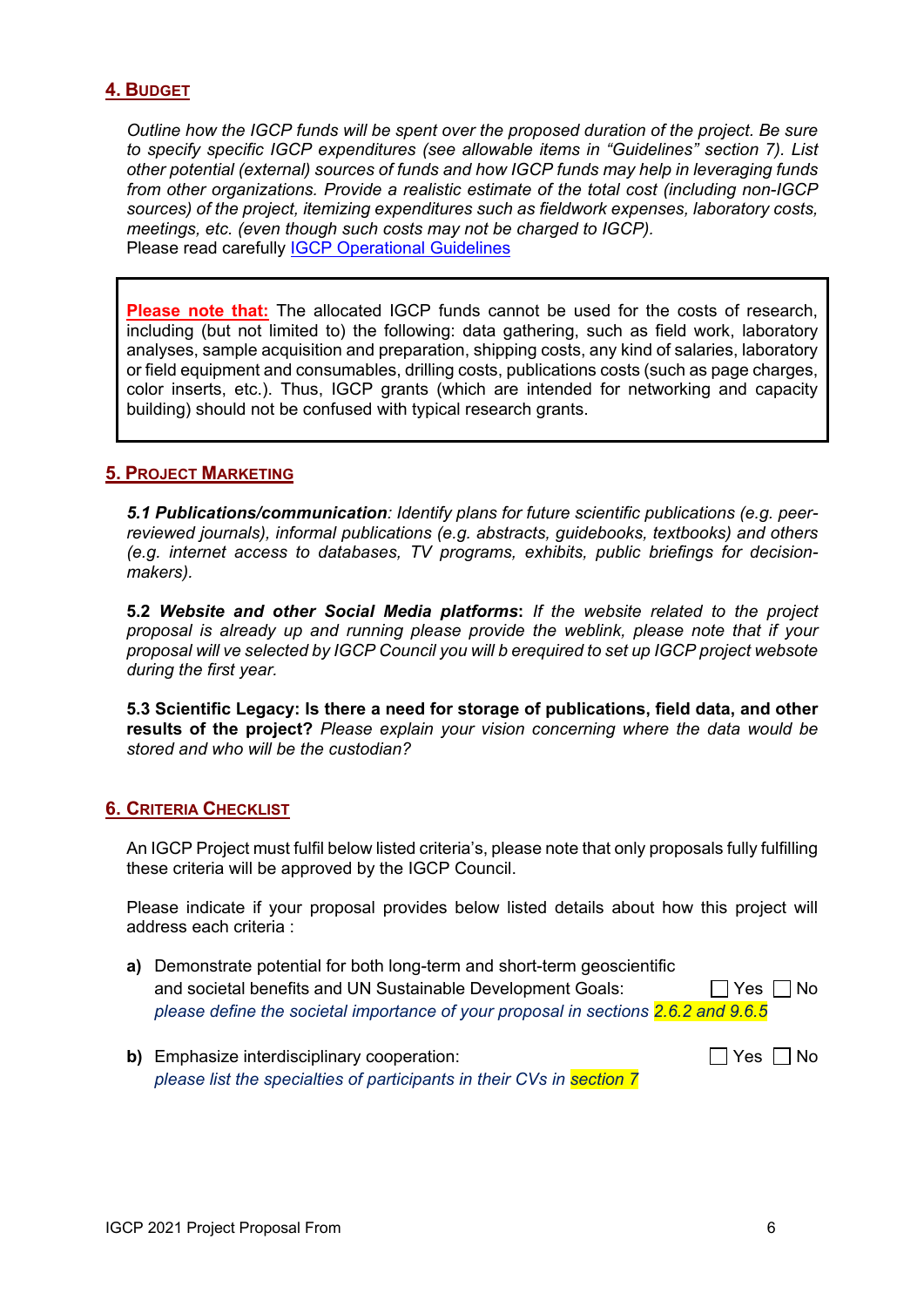# **4. BUDGET**

*Outline how the IGCP funds will be spent over the proposed duration of the project. Be sure to specify specific IGCP expenditures (see allowable items in "Guidelines" section 7). List other potential (external) sources of funds and how IGCP funds may help in leveraging funds from other organizations. Provide a realistic estimate of the total cost (including non-IGCP sources) of the project, itemizing expenditures such as fieldwork expenses, laboratory costs, meetings, etc. (even though such costs may not be charged to IGCP).* Please read carefully [IGCP Operational](http://www.unesco.org/new/fileadmin/MULTIMEDIA/HQ/SC/pdf/IGCP_Operational_Guidelines_April_2016_web.pdf) Guidelines

**Please note that:** The allocated IGCP funds cannot be used for the costs of research, including (but not limited to) the following: data gathering, such as field work, laboratory analyses, sample acquisition and preparation, shipping costs, any kind of salaries, laboratory or field equipment and consumables, drilling costs, publications costs (such as page charges, color inserts, etc.). Thus, IGCP grants (which are intended for networking and capacity building) should not be confused with typical research grants.

# **5. PROJECT MARKETING**

*5.1 Publications/communication: Identify plans for future scientific publications (e.g. peerreviewed journals), informal publications (e.g. abstracts, guidebooks, textbooks) and others (e.g. internet access to databases, TV programs, exhibits, public briefings for decisionmakers).*

**5.2** *Website and other Social Media platforms***:** *If the website related to the project proposal is already up and running please provide the weblink, please note that if your proposal will ve selected by IGCP Council you will b erequired to set up IGCP project websote during the first year.* 

**5.3 Scientific Legacy: Is there a need for storage of publications, field data, and other results of the project?** *Please explain your vision concerning where the data would be stored and who will be the custodian?*

# **6. CRITERIA CHECKLIST**

An IGCP Project must fulfil below listed criteria's, please note that only proposals fully fulfilling these criteria will be approved by the IGCP Council.

Please indicate if your proposal provides below listed details about how this project will address each criteria :

- **a)** Demonstrate potential for both long-term and short-term geoscientific and societal benefits and UN Sustainable Development Goals:  $\Box$  Yes  $\Box$  No *please define the societal importance of your proposal in sections 2.6.2 and 9.6.5*
- **b)** Emphasize interdisciplinary cooperation:  $\Box$  Yes  $\Box$  No *please list the specialties of participants in their CVs in section 7*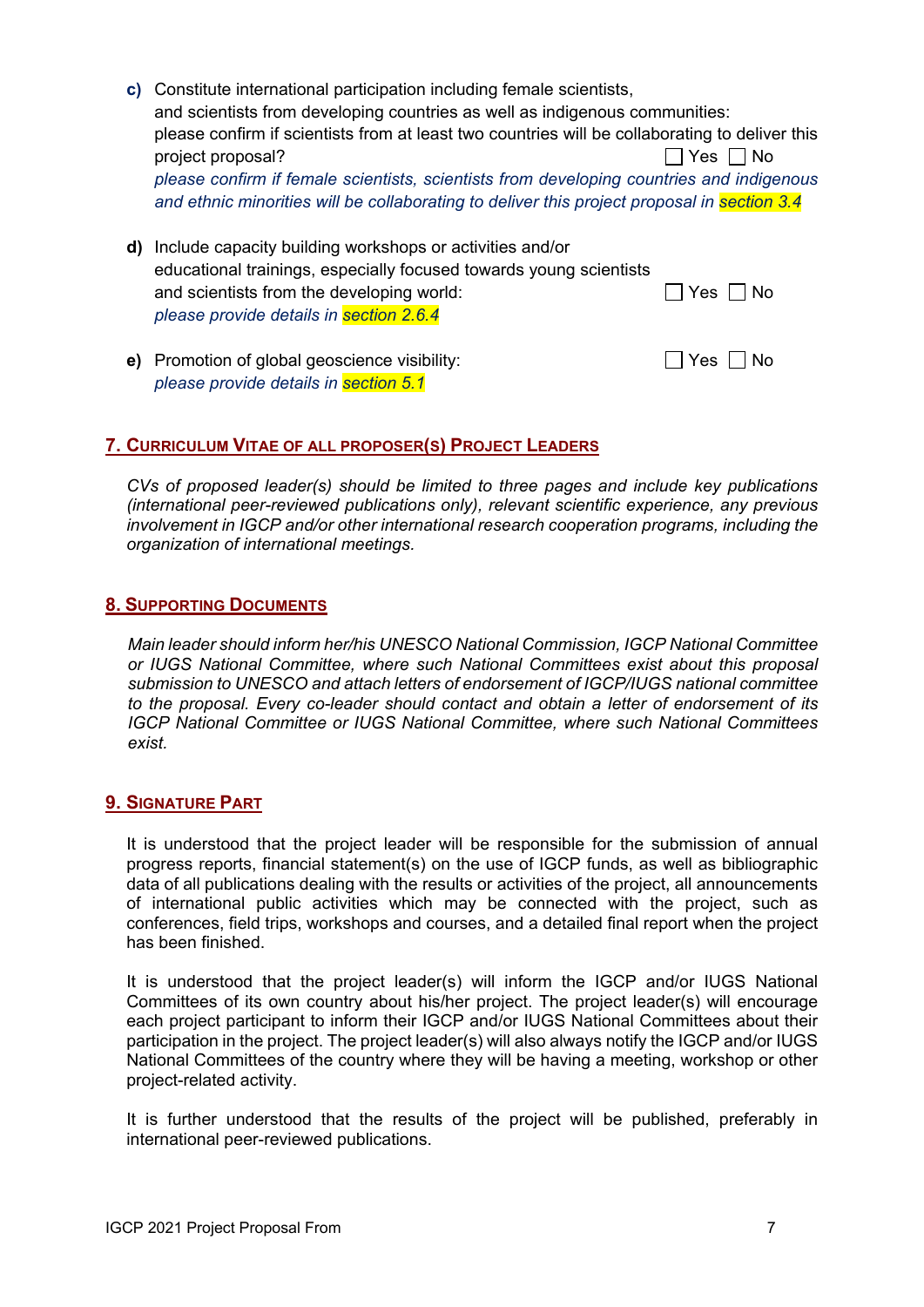**c)** Constitute international participation including female scientists, and scientists from developing countries as well as indigenous communities: please confirm if scientists from at least two countries will be collaborating to deliver this project proposal?  $\Box$  Yes  $\Box$  No *please confirm if female scientists, scientists from developing countries and indigenous and ethnic minorities will be collaborating to deliver this project proposal in section 3.4*

|                                           | <b>d)</b> Include capacity building workshops or activities and/or |                      |
|-------------------------------------------|--------------------------------------------------------------------|----------------------|
|                                           | educational trainings, especially focused towards young scientists |                      |
| and scientists from the developing world: |                                                                    | $\Box$ Yes $\Box$ No |
| please provide details in section 2.6.4   |                                                                    |                      |
|                                           |                                                                    |                      |

**e)** Promotion of global geoscience visibility:  $\Box$  Yes  $\Box$  No *please provide details in section 5.1*

# **7. CURRICULUM VITAE OF ALL PROPOSER(S) PROJECT LEADERS**

*CVs of proposed leader(s) should be limited to three pages and include key publications (international peer-reviewed publications only), relevant scientific experience, any previous involvement in IGCP and/or other international research cooperation programs, including the organization of international meetings.*

# **8. SUPPORTING DOCUMENTS**

*Main leader should inform her/his UNESCO National Commission, IGCP National Committee or IUGS National Committee, where such National Committees exist about this proposal submission to UNESCO and attach letters of endorsement of IGCP/IUGS national committee to the proposal. Every co-leader should contact and obtain a letter of endorsement of its IGCP National Committee or IUGS National Committee, where such National Committees exist.* 

# **9. SIGNATURE PART**

It is understood that the project leader will be responsible for the submission of annual progress reports, financial statement(s) on the use of IGCP funds, as well as bibliographic data of all publications dealing with the results or activities of the project, all announcements of international public activities which may be connected with the project, such as conferences, field trips, workshops and courses, and a detailed final report when the project has been finished.

It is understood that the project leader(s) will inform the IGCP and/or IUGS National Committees of its own country about his/her project. The project leader(s) will encourage each project participant to inform their IGCP and/or IUGS National Committees about their participation in the project. The project leader(s) will also always notify the IGCP and/or IUGS National Committees of the country where they will be having a meeting, workshop or other project-related activity.

It is further understood that the results of the project will be published, preferably in international peer-reviewed publications.